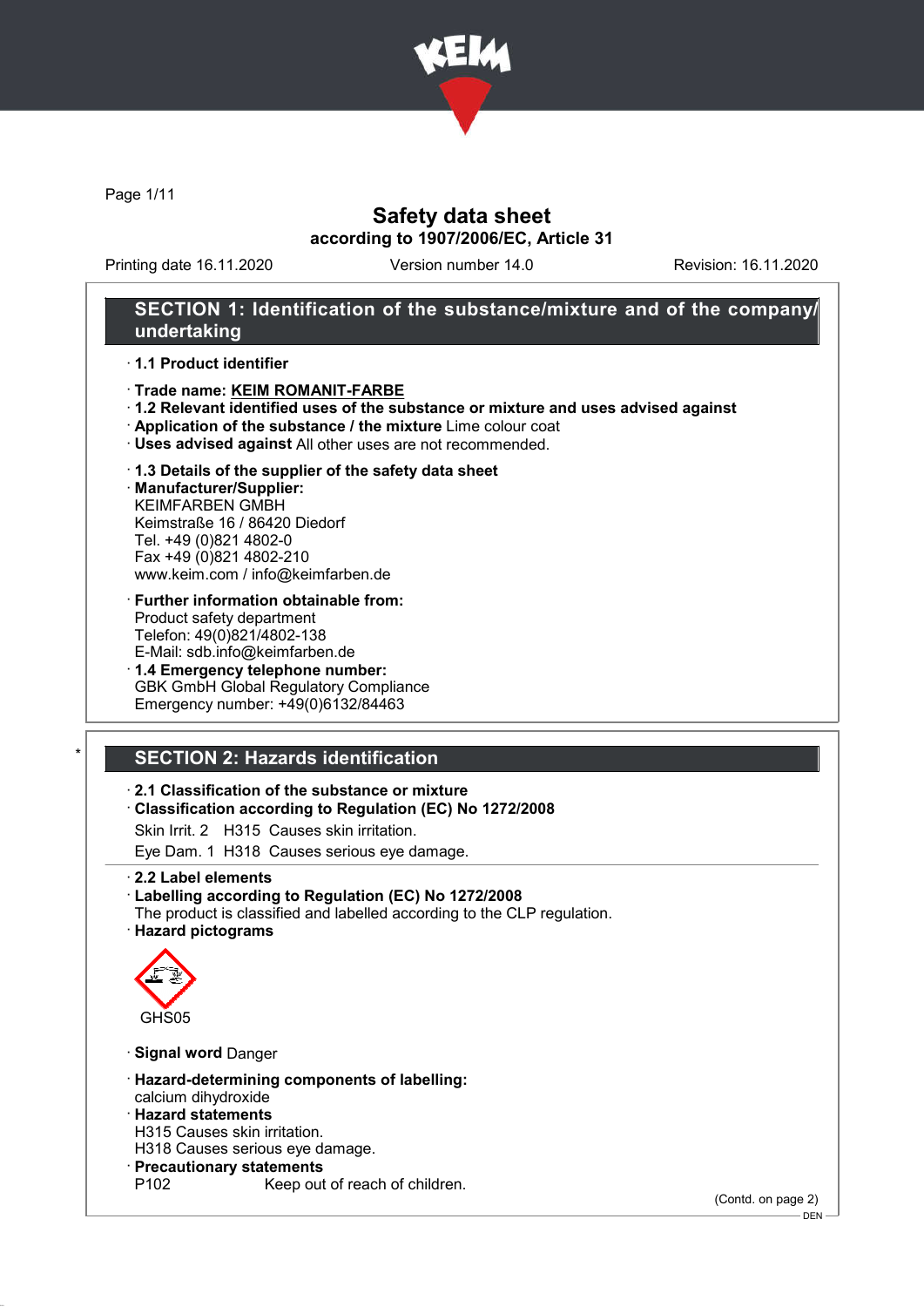

Page 1/11

## Safety data sheet according to 1907/2006/EC, Article 31

Printing date 16.11.2020 Version number 14.0 Revision: 16.11.2020

### SECTION 1: Identification of the substance/mixture and of the company/ undertaking

### · 1.1 Product identifier

- · Trade name: KEIM ROMANIT-FARBE
- · 1.2 Relevant identified uses of the substance or mixture and uses advised against
- · Application of the substance / the mixture Lime colour coat
- · Uses advised against All other uses are not recommended.

#### · 1.3 Details of the supplier of the safety data sheet

· Manufacturer/Supplier: KEIMFARBEN GMBH Keimstraße 16 / 86420 Diedorf Tel. +49 (0)821 4802-0 Fax +49 (0)821 4802-210 www.keim.com / info@keimfarben.de

- · Further information obtainable from: Product safety department Telefon: 49(0)821/4802-138 E-Mail: sdb.info@keimfarben.de
- · 1.4 Emergency telephone number: GBK GmbH Global Regulatory Compliance Emergency number: +49(0)6132/84463

## **SECTION 2: Hazards identification**

### · 2.1 Classification of the substance or mixture

- · Classification according to Regulation (EC) No 1272/2008
- Skin Irrit. 2 H315 Causes skin irritation.
- Eye Dam. 1 H318 Causes serious eye damage.
- · 2.2 Label elements

#### · Labelling according to Regulation (EC) No 1272/2008

The product is classified and labelled according to the CLP regulation. · Hazard pictograms



- · Signal word Danger
- · Hazard-determining components of labelling: calcium dihydroxide
- · Hazard statements
- H315 Causes skin irritation.
- H318 Causes serious eye damage.
- · Precautionary statements
	- Keep out of reach of children.

(Contd. on page 2)

DEN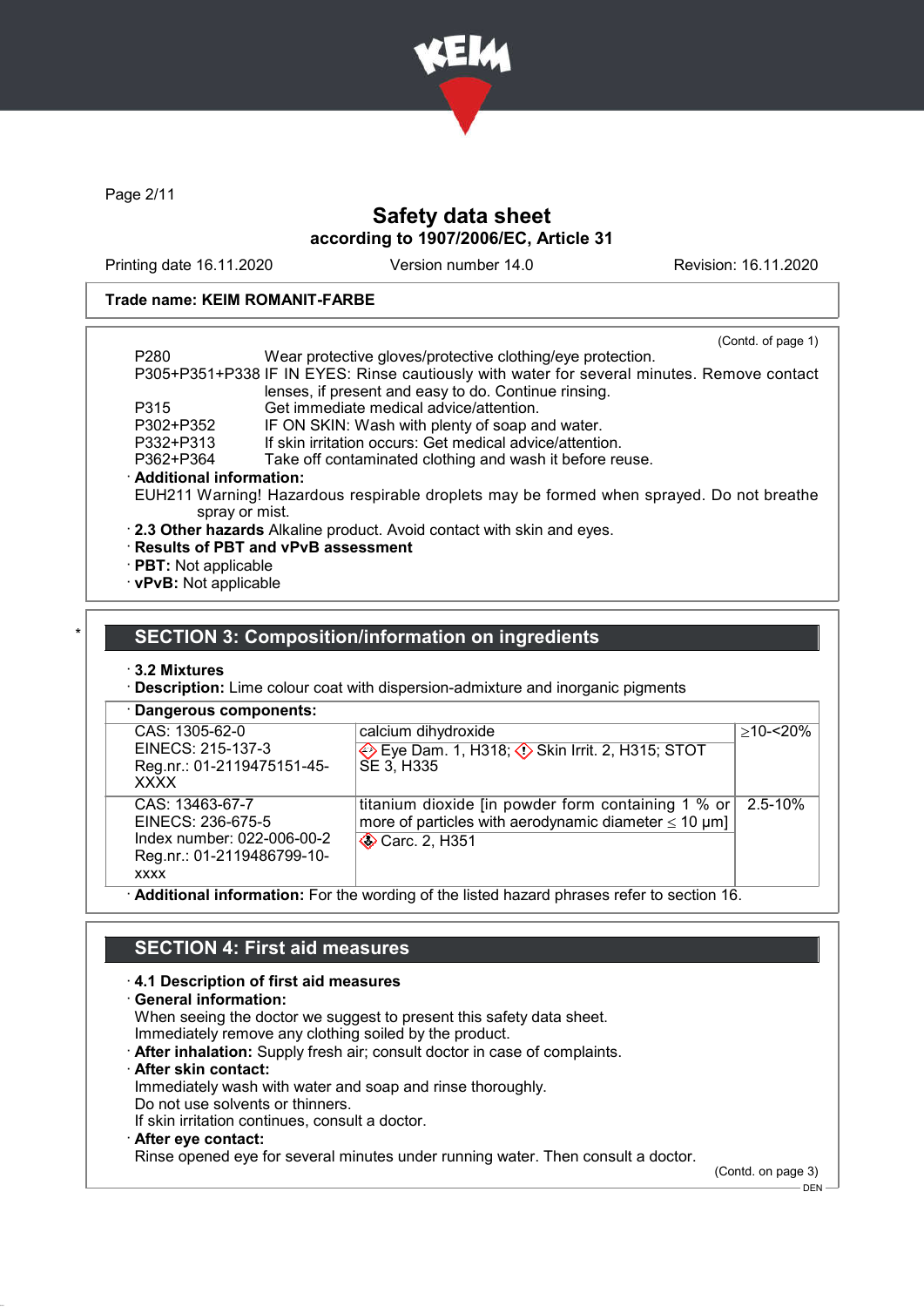

Page 2/11

## Safety data sheet according to 1907/2006/EC, Article 31

Printing date 16.11.2020 Version number 14.0 Revision: 16.11.2020

### Trade name: KEIM ROMANIT-FARBE

|                             | (Contd. of page 1)                                                                         |
|-----------------------------|--------------------------------------------------------------------------------------------|
| P <sub>280</sub>            | Wear protective gloves/protective clothing/eye protection.                                 |
|                             | P305+P351+P338 IF IN EYES: Rinse cautiously with water for several minutes. Remove contact |
|                             | lenses, if present and easy to do. Continue rinsing.                                       |
| P315                        | Get immediate medical advice/attention.                                                    |
| P302+P352                   | IF ON SKIN: Wash with plenty of soap and water.                                            |
| P332+P313                   | If skin irritation occurs: Get medical advice/attention.                                   |
| P362+P364                   | Take off contaminated clothing and wash it before reuse.                                   |
| · Additional information:   |                                                                                            |
|                             | EUH211 Warning! Hazardous respirable droplets may be formed when sprayed. Do not breathe   |
| spray or mist.              |                                                                                            |
|                             | . 2.3 Other hazards Alkaline product. Avoid contact with skin and eyes.                    |
|                             | · Results of PBT and vPvB assessment                                                       |
| $\cdot$ PBT: Not applicable |                                                                                            |

· vPvB: Not applicable

### SECTION 3: Composition/information on ingredients

· 3.2 Mixtures

· Description: Lime colour coat with dispersion-admixture and inorganic pigments

| CAS: 1305-62-0                                                                                                  | calcium dihydroxide                                                                                                                              | $>10 - 20%$ |
|-----------------------------------------------------------------------------------------------------------------|--------------------------------------------------------------------------------------------------------------------------------------------------|-------------|
| EINECS: 215-137-3<br>Reg.nr.: 01-2119475151-45-<br><b>XXXX</b>                                                  | Eye Dam. 1, H318; Skin Irrit. 2, H315; STOT<br>SE 3. H335                                                                                        |             |
| CAS: 13463-67-7<br>EINECS: 236-675-5<br>Index number: 022-006-00-2<br>Reg.nr.: 01-2119486799-10-<br><b>XXXX</b> | titanium dioxide [in powder form containing 1 % or<br>more of particles with aerodynamic diameter $\leq 10 \text{ }\mu\text{m}$<br>Carc. 2, H351 | $2.5 - 10%$ |

· Additional information: For the wording of the listed hazard phrases refer to section 16.

## SECTION 4: First aid measures

### · 4.1 Description of first aid measures

· General information:

When seeing the doctor we suggest to present this safety data sheet.

Immediately remove any clothing soiled by the product.

- · After inhalation: Supply fresh air; consult doctor in case of complaints.
- After skin contact:

Immediately wash with water and soap and rinse thoroughly.

Do not use solvents or thinners.

If skin irritation continues, consult a doctor.

### · After eye contact:

Rinse opened eye for several minutes under running water. Then consult a doctor.

(Contd. on page 3)  $-$  DEN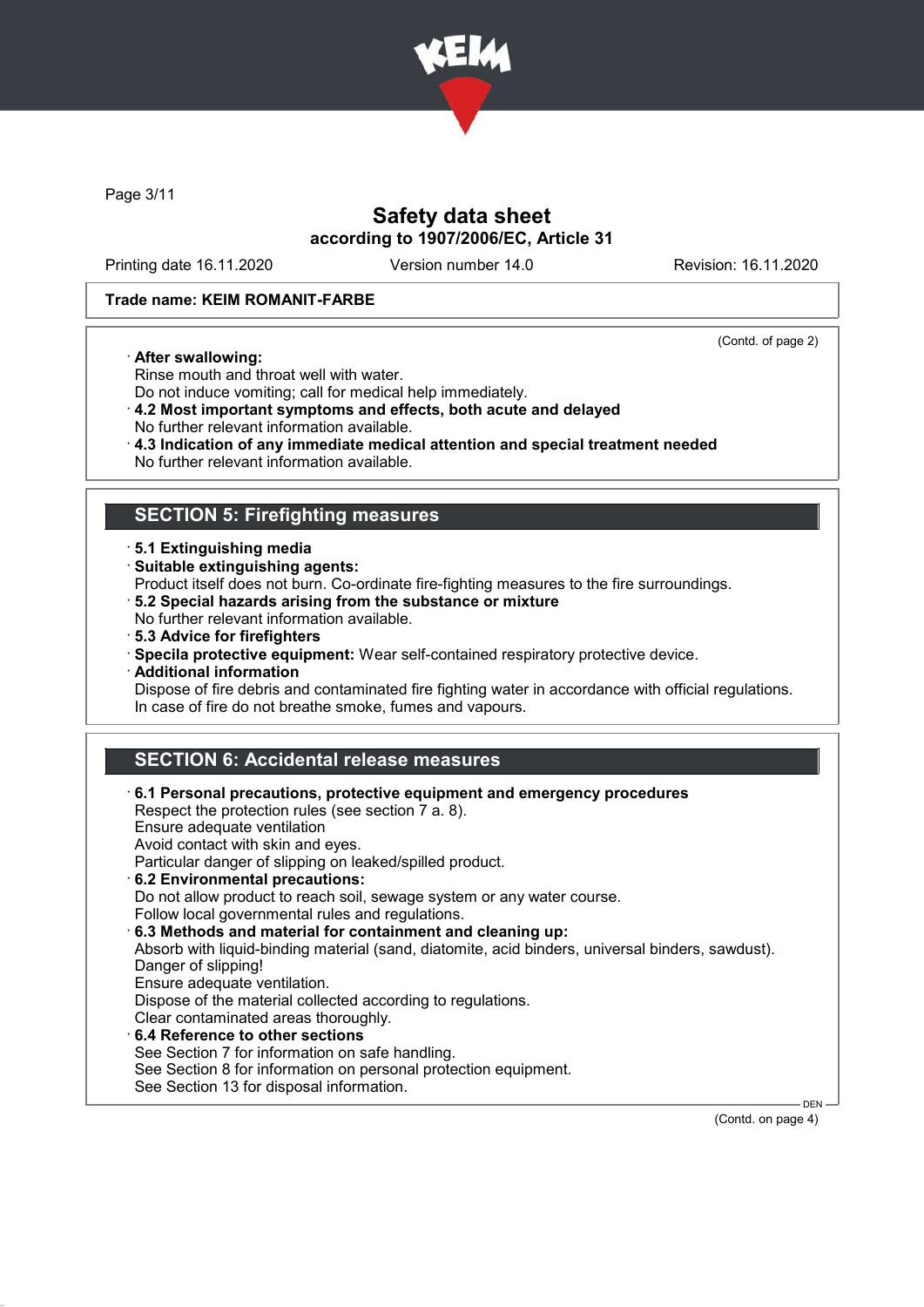

Page 3/11

## Safety data sheet according to 1907/2006/EC, Article 31

Printing date 16.11.2020 Version number 14.0 Revision: 16.11.2020

(Contd. of page 2)

### Trade name: KEIM ROMANIT-FARBE

#### · After swallowing:

Rinse mouth and throat well with water. Do not induce vomiting; call for medical help immediately.

- · 4.2 Most important symptoms and effects, both acute and delayed
- No further relevant information available.
- · 4.3 Indication of any immediate medical attention and special treatment needed
- No further relevant information available.

### SECTION 5: Firefighting measures

- · 5.1 Extinguishing media
- · Suitable extinguishing agents:

Product itself does not burn. Co-ordinate fire-fighting measures to the fire surroundings.

- · 5.2 Special hazards arising from the substance or mixture
- No further relevant information available.
- · 5.3 Advice for firefighters
- · Specila protective equipment: Wear self-contained respiratory protective device.
- · Additional information

Dispose of fire debris and contaminated fire fighting water in accordance with official regulations. In case of fire do not breathe smoke, fumes and vapours.

## SECTION 6: Accidental release measures

| $\cdot$ 6.1 Personal precautions, protective equipment and emergency procedures<br>Respect the protection rules (see section 7 a. 8).<br>Ensure adequate ventilation<br>Avoid contact with skin and eyes.<br>Particular danger of slipping on leaked/spilled product.<br>6.2 Environmental precautions:<br>Do not allow product to reach soil, sewage system or any water course.<br>Follow local governmental rules and regulations.<br>6.3 Methods and material for containment and cleaning up:<br>Absorb with liquid-binding material (sand, diatomite, acid binders, universal binders, sawdust).<br>Danger of slipping!<br>Ensure adequate ventilation.<br>Dispose of the material collected according to regulations.<br>Clear contaminated areas thoroughly.<br>6.4 Reference to other sections<br>See Section 7 for information on safe handling.<br>See Section 8 for information on personal protection equipment.<br>See Section 13 for disposal information. |         |
|---------------------------------------------------------------------------------------------------------------------------------------------------------------------------------------------------------------------------------------------------------------------------------------------------------------------------------------------------------------------------------------------------------------------------------------------------------------------------------------------------------------------------------------------------------------------------------------------------------------------------------------------------------------------------------------------------------------------------------------------------------------------------------------------------------------------------------------------------------------------------------------------------------------------------------------------------------------------------|---------|
|                                                                                                                                                                                                                                                                                                                                                                                                                                                                                                                                                                                                                                                                                                                                                                                                                                                                                                                                                                           | $DEN -$ |

(Contd. on page 4)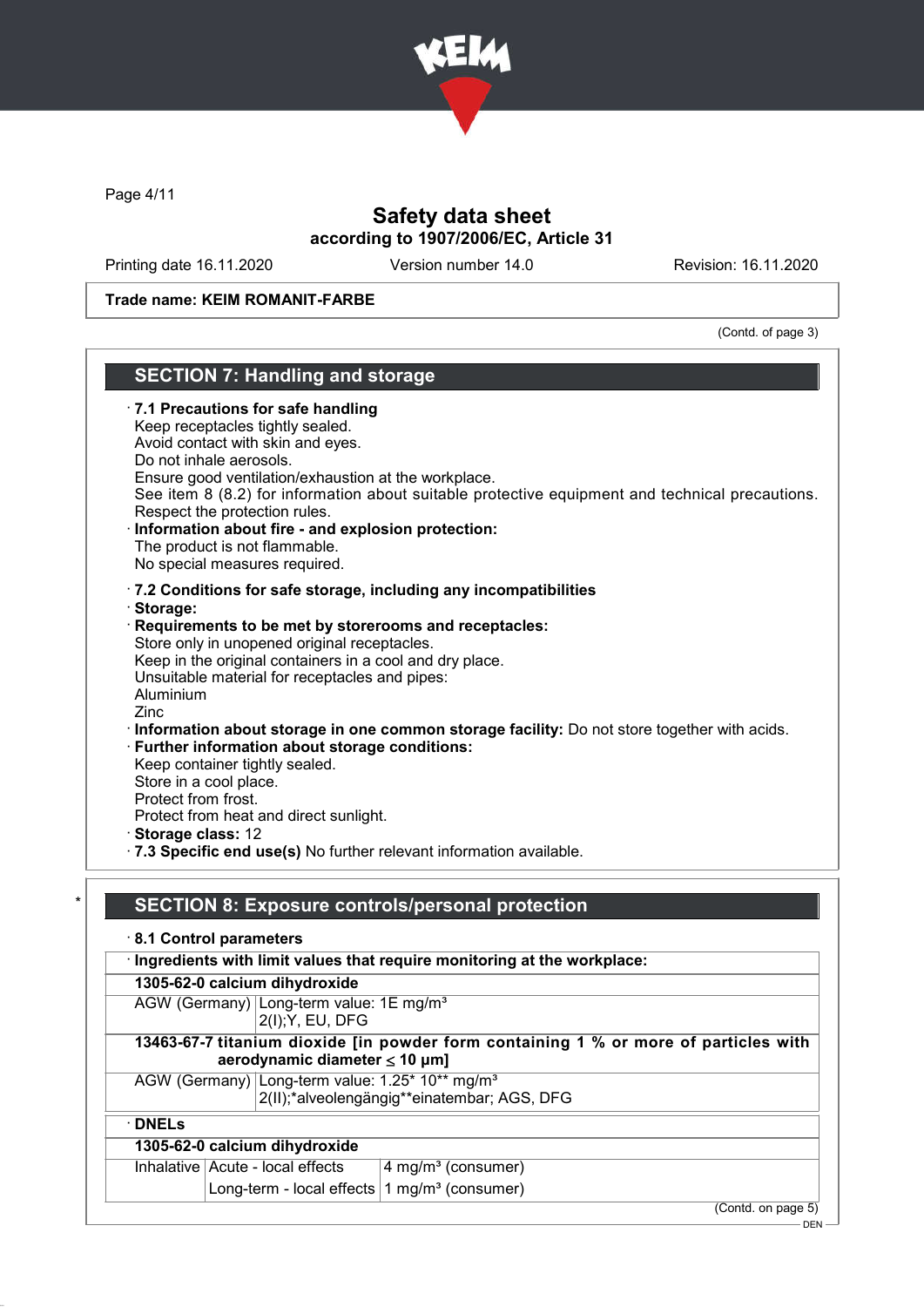

Page 4/11

## Safety data sheet according to 1907/2006/EC, Article 31

Printing date 16.11.2020 Version number 14.0 Revision: 16.11.2020

### Trade name: KEIM ROMANIT-FARBE

(Contd. of page 3)

### SECTION 7: Handling and storage · 7.1 Precautions for safe handling Keep receptacles tightly sealed. Avoid contact with skin and eyes. Do not inhale aerosols. Ensure good ventilation/exhaustion at the workplace. See item 8 (8.2) for information about suitable protective equipment and technical precautions. Respect the protection rules. Information about fire - and explosion protection: The product is not flammable. No special measures required. · 7.2 Conditions for safe storage, including any incompatibilities · Storage: Requirements to be met by storerooms and receptacles: Store only in unopened original receptacles. Keep in the original containers in a cool and dry place. Unsuitable material for receptacles and pipes: Aluminium Zinc · Information about storage in one common storage facility: Do not store together with acids. · Further information about storage conditions: Keep container tightly sealed. Store in a cool place. Protect from frost. Protect from heat and direct sunlight. · Storage class: 12

· 7.3 Specific end use(s) No further relevant information available.

### SECTION 8: Exposure controls/personal protection

· 8.1 Control parameters

· Ingredients with limit values that require monitoring at the workplace:

1305-62-0 calcium dihydroxide

AGW (Germany) Long-term value: 1E mg/m<sup>3</sup> 2(I);Y, EU, DFG

### 13463-67-7 titanium dioxide [in powder form containing 1 % or more of particles with aerodynamic diameter ≤ 10 μm]

AGW (Germany) Long-term value: 1.25\* 10\*\* mg/m<sup>3</sup> 2(II);\*alveolengängig\*\*einatembar; AGS, DFG

· DNELs

### 1305-62-0 calcium dihydroxide

| Inhalative Acute - local effects                                         | $\frac{1}{4}$ mg/m <sup>3</sup> (consumer) |
|--------------------------------------------------------------------------|--------------------------------------------|
| $\vert$ Long-term - local effects $\vert$ 1 mg/m <sup>3</sup> (consumer) |                                            |

(Contd. on page 5)

DEN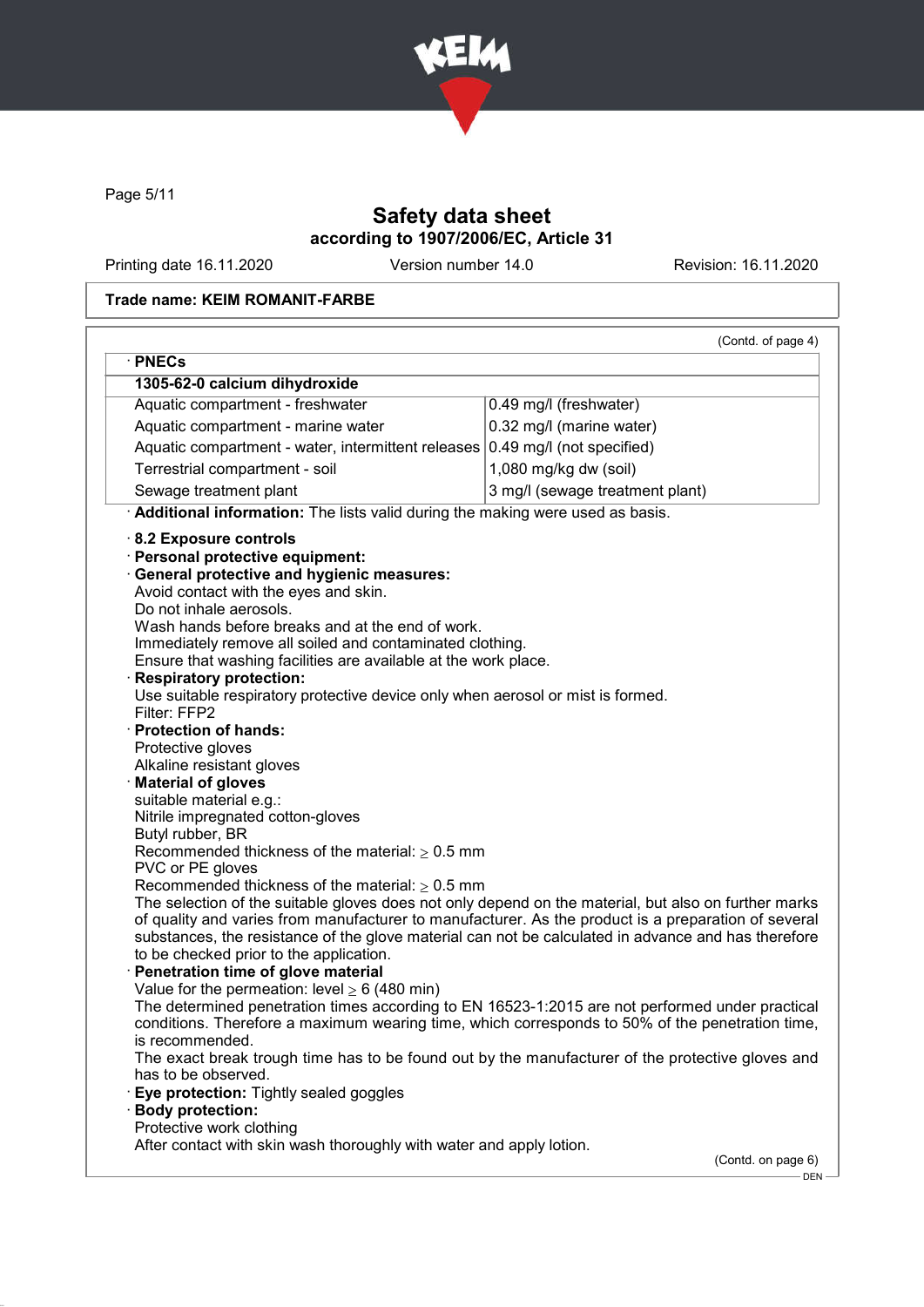

Page 5/11

## Safety data sheet according to 1907/2006/EC, Article 31

Printing date 16.11.2020 Version number 14.0 Revision: 16.11.2020

### Trade name: KEIM ROMANIT-FARBE

|                                                                                                                                                                                                                                                                                                                                                                                                                                                                                                                                                                                                                                                                                                                                                                                                                                                                                                                                                                                                                                                              | (Contd. of page 4)              |
|--------------------------------------------------------------------------------------------------------------------------------------------------------------------------------------------------------------------------------------------------------------------------------------------------------------------------------------------------------------------------------------------------------------------------------------------------------------------------------------------------------------------------------------------------------------------------------------------------------------------------------------------------------------------------------------------------------------------------------------------------------------------------------------------------------------------------------------------------------------------------------------------------------------------------------------------------------------------------------------------------------------------------------------------------------------|---------------------------------|
| · PNECs<br>1305-62-0 calcium dihydroxide                                                                                                                                                                                                                                                                                                                                                                                                                                                                                                                                                                                                                                                                                                                                                                                                                                                                                                                                                                                                                     |                                 |
| Aquatic compartment - freshwater                                                                                                                                                                                                                                                                                                                                                                                                                                                                                                                                                                                                                                                                                                                                                                                                                                                                                                                                                                                                                             | 0.49 mg/l (freshwater)          |
|                                                                                                                                                                                                                                                                                                                                                                                                                                                                                                                                                                                                                                                                                                                                                                                                                                                                                                                                                                                                                                                              |                                 |
| Aquatic compartment - marine water                                                                                                                                                                                                                                                                                                                                                                                                                                                                                                                                                                                                                                                                                                                                                                                                                                                                                                                                                                                                                           | 0.32 mg/l (marine water)        |
| Aquatic compartment - water, intermittent releases                                                                                                                                                                                                                                                                                                                                                                                                                                                                                                                                                                                                                                                                                                                                                                                                                                                                                                                                                                                                           | 0.49 mg/l (not specified)       |
| Terrestrial compartment - soil                                                                                                                                                                                                                                                                                                                                                                                                                                                                                                                                                                                                                                                                                                                                                                                                                                                                                                                                                                                                                               | 1,080 mg/kg dw (soil)           |
| Sewage treatment plant                                                                                                                                                                                                                                                                                                                                                                                                                                                                                                                                                                                                                                                                                                                                                                                                                                                                                                                                                                                                                                       | 3 mg/l (sewage treatment plant) |
| Additional information: The lists valid during the making were used as basis.                                                                                                                                                                                                                                                                                                                                                                                                                                                                                                                                                                                                                                                                                                                                                                                                                                                                                                                                                                                |                                 |
| 8.2 Exposure controls<br>Personal protective equipment:<br><b>General protective and hygienic measures:</b><br>Avoid contact with the eyes and skin.<br>Do not inhale aerosols.<br>Wash hands before breaks and at the end of work.<br>Immediately remove all soiled and contaminated clothing.<br>Ensure that washing facilities are available at the work place.<br><b>Respiratory protection:</b><br>Use suitable respiratory protective device only when aerosol or mist is formed.<br>Filter: FFP2<br><b>Protection of hands:</b><br>Protective gloves<br>Alkaline resistant gloves<br><b>Material of gloves</b><br>suitable material e.g.:<br>Nitrile impregnated cotton-gloves<br>Butyl rubber, BR<br>Recommended thickness of the material: $\geq 0.5$ mm<br>PVC or PE gloves<br>Recommended thickness of the material: $\geq 0.5$ mm<br>The selection of the suitable gloves does not only depend on the material, but also on further marks<br>of quality and varies from manufacturer to manufacturer. As the product is a preparation of several |                                 |
| substances, the resistance of the glove material can not be calculated in advance and has therefore                                                                                                                                                                                                                                                                                                                                                                                                                                                                                                                                                                                                                                                                                                                                                                                                                                                                                                                                                          |                                 |
| to be checked prior to the application.                                                                                                                                                                                                                                                                                                                                                                                                                                                                                                                                                                                                                                                                                                                                                                                                                                                                                                                                                                                                                      |                                 |
| Penetration time of glove material                                                                                                                                                                                                                                                                                                                                                                                                                                                                                                                                                                                                                                                                                                                                                                                                                                                                                                                                                                                                                           |                                 |
| Value for the permeation: level $\geq 6$ (480 min)<br>The determined penetration times according to EN 16523-1:2015 are not performed under practical                                                                                                                                                                                                                                                                                                                                                                                                                                                                                                                                                                                                                                                                                                                                                                                                                                                                                                        |                                 |
| conditions. Therefore a maximum wearing time, which corresponds to 50% of the penetration time,                                                                                                                                                                                                                                                                                                                                                                                                                                                                                                                                                                                                                                                                                                                                                                                                                                                                                                                                                              |                                 |
| is recommended.                                                                                                                                                                                                                                                                                                                                                                                                                                                                                                                                                                                                                                                                                                                                                                                                                                                                                                                                                                                                                                              |                                 |
| The exact break trough time has to be found out by the manufacturer of the protective gloves and                                                                                                                                                                                                                                                                                                                                                                                                                                                                                                                                                                                                                                                                                                                                                                                                                                                                                                                                                             |                                 |
| has to be observed.<br>Eye protection: Tightly sealed goggles                                                                                                                                                                                                                                                                                                                                                                                                                                                                                                                                                                                                                                                                                                                                                                                                                                                                                                                                                                                                |                                 |
| <b>Body protection:</b>                                                                                                                                                                                                                                                                                                                                                                                                                                                                                                                                                                                                                                                                                                                                                                                                                                                                                                                                                                                                                                      |                                 |
| Protective work clothing                                                                                                                                                                                                                                                                                                                                                                                                                                                                                                                                                                                                                                                                                                                                                                                                                                                                                                                                                                                                                                     |                                 |
| After contact with skin wash thoroughly with water and apply lotion.                                                                                                                                                                                                                                                                                                                                                                                                                                                                                                                                                                                                                                                                                                                                                                                                                                                                                                                                                                                         |                                 |
|                                                                                                                                                                                                                                                                                                                                                                                                                                                                                                                                                                                                                                                                                                                                                                                                                                                                                                                                                                                                                                                              | (Contd. on page 6)              |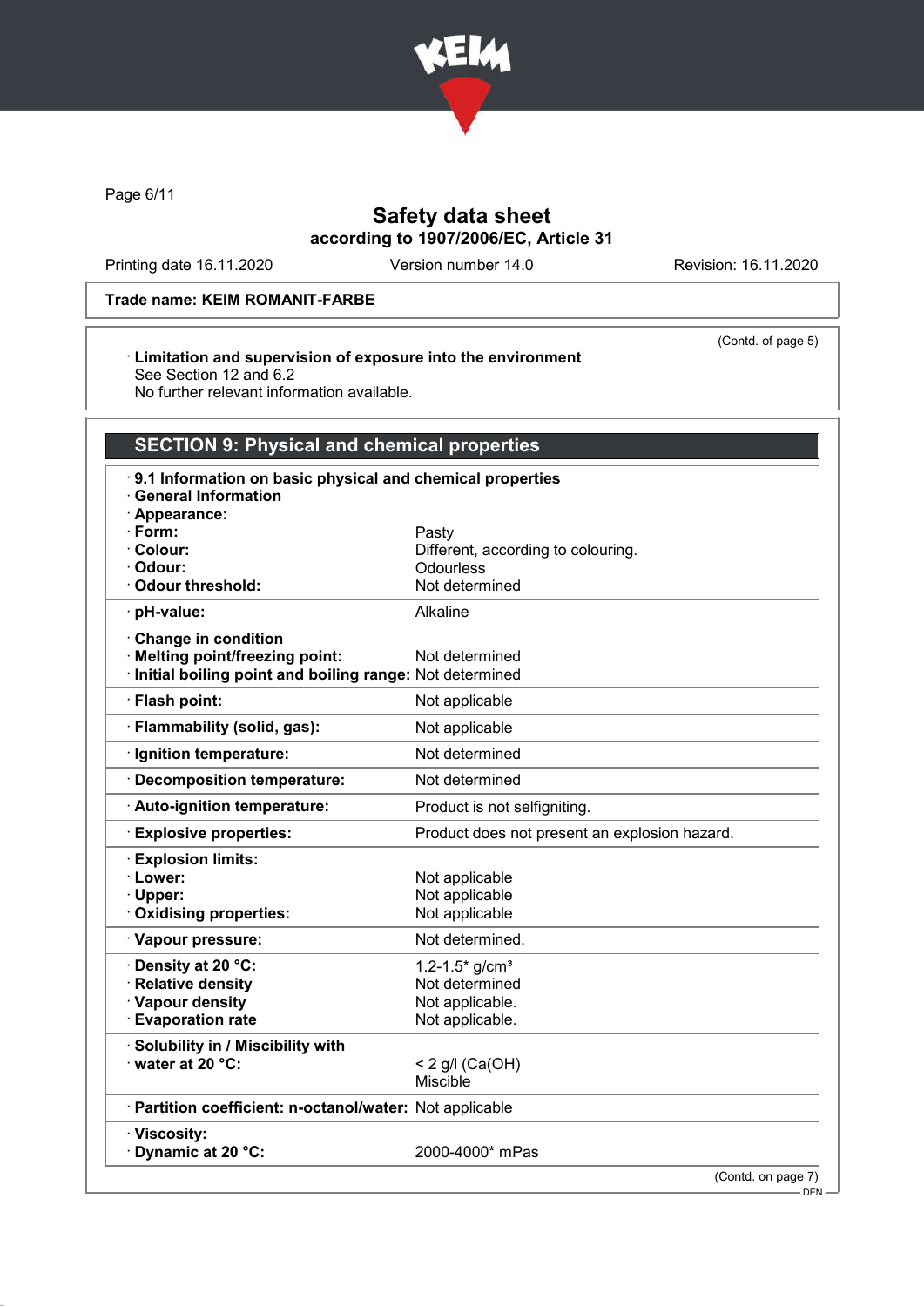

Page 6/11

## Safety data sheet according to 1907/2006/EC, Article 31

Printing date 16.11.2020 Version number 14.0 Revision: 16.11.2020

(Contd. of page 5)

### Trade name: KEIM ROMANIT-FARBE

#### · Limitation and supervision of exposure into the environment See Section 12 and 6.2

No further relevant information available.

# SECTION 9: Physical and chemical properties

| 9.1 Information on basic physical and chemical properties<br><b>General Information</b> |                                               |
|-----------------------------------------------------------------------------------------|-----------------------------------------------|
| · Appearance:                                                                           |                                               |
| · Form:                                                                                 | Pasty                                         |
| · Colour:                                                                               | Different, according to colouring.            |
| · Odour:                                                                                | Odourless                                     |
| Odour threshold:                                                                        | Not determined                                |
| · pH-value:                                                                             | Alkaline                                      |
| Change in condition                                                                     |                                               |
| · Melting point/freezing point:                                                         | Not determined                                |
| Initial boiling point and boiling range: Not determined                                 |                                               |
| · Flash point:                                                                          | Not applicable                                |
| · Flammability (solid, gas):                                                            | Not applicable                                |
| · Ignition temperature:                                                                 | Not determined                                |
| · Decomposition temperature:                                                            | Not determined                                |
| · Auto-ignition temperature:                                                            | Product is not selfigniting.                  |
| <b>Explosive properties:</b>                                                            | Product does not present an explosion hazard. |
| <b>Explosion limits:</b>                                                                |                                               |
| · Lower:                                                                                | Not applicable                                |
| · Upper:                                                                                | Not applicable                                |
| Oxidising properties:                                                                   | Not applicable                                |
| · Vapour pressure:                                                                      | Not determined.                               |
| · Density at 20 °C:                                                                     | 1.2-1.5 $*$ g/cm <sup>3</sup>                 |
| · Relative density                                                                      | Not determined                                |
| · Vapour density                                                                        | Not applicable.                               |
| <b>Evaporation rate</b>                                                                 | Not applicable.                               |
| · Solubility in / Miscibility with                                                      |                                               |
| water at 20 °C:                                                                         | < 2 g/l (Ca(OH)                               |
|                                                                                         | <b>Miscible</b>                               |
| · Partition coefficient: n-octanol/water: Not applicable                                |                                               |
| · Viscosity:<br>Dynamic at 20 °C:                                                       | 2000-4000* mPas                               |
|                                                                                         | (Contd. on page 7)<br>$-$ DEN $-$             |
|                                                                                         |                                               |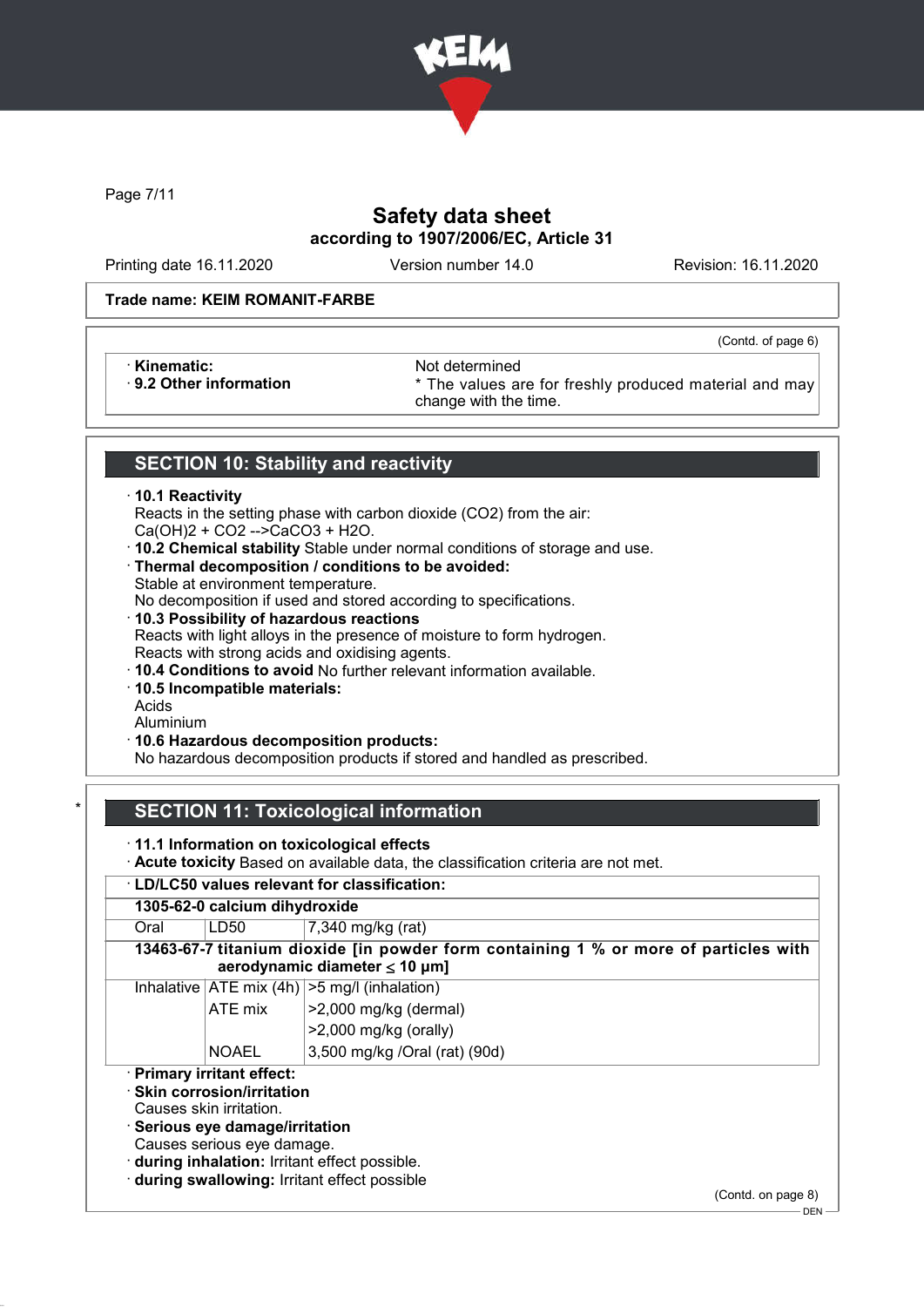

Page 7/11

## Safety data sheet according to 1907/2006/EC, Article 31

Printing date 16.11.2020 Version number 14.0 Revision: 16.11.2020

(Contd. of page 6)

### Trade name: KEIM ROMANIT-FARBE

• **Kinematic:** Not determined<br> **9.2 Other information Example 12 and 13 and 14 and 15 and 16 and 16 and 16 and 16 and 16 and 16 and 16 and 16 and 16 and 16 and 16 and 16 and 16 and 16 and 16 and 16 and 16 and 16 and 16 a** 

\* The values are for freshly produced material and may change with the time.

### SECTION 10: Stability and reactivity

### · 10.1 Reactivity

Reacts in the setting phase with carbon dioxide (CO2) from the air: Ca(OH)2 + CO2 -->CaCO3 + H2O.

- · 10.2 Chemical stability Stable under normal conditions of storage and use.
- · Thermal decomposition / conditions to be avoided: Stable at environment temperature.
- No decomposition if used and stored according to specifications. · 10.3 Possibility of hazardous reactions
- Reacts with light alloys in the presence of moisture to form hydrogen. Reacts with strong acids and oxidising agents.
- · 10.4 Conditions to avoid No further relevant information available.
- · 10.5 Incompatible materials:
- Acids
- Aluminium
- · 10.6 Hazardous decomposition products:

No hazardous decomposition products if stored and handled as prescribed.

## **SECTION 11: Toxicological information**

· 11.1 Information on toxicological effects

· Acute toxicity Based on available data, the classification criteria are not met.

### · LD/LC50 values relevant for classification: 1305-62-0 calcium dihydroxide Oral | LD50 | 7,340 mg/kg (rat) 13463-67-7 titanium dioxide [in powder form containing 1 % or more of particles with aerodynamic diameter ≤ 10 μm] Inhalative  $ATE$  mix (4h)  $>5$  mg/l (inhalation) ATE mix  $\vert$  >2,000 mg/kg (dermal) >2,000 mg/kg (orally) NOAEL 3,500 mg/kg /Oral (rat) (90d) · Primary irritant effect: · Skin corrosion/irritation Causes skin irritation. · Serious eye damage/irritation Causes serious eye damage. · during inhalation: Irritant effect possible. · during swallowing: Irritant effect possible

(Contd. on page 8)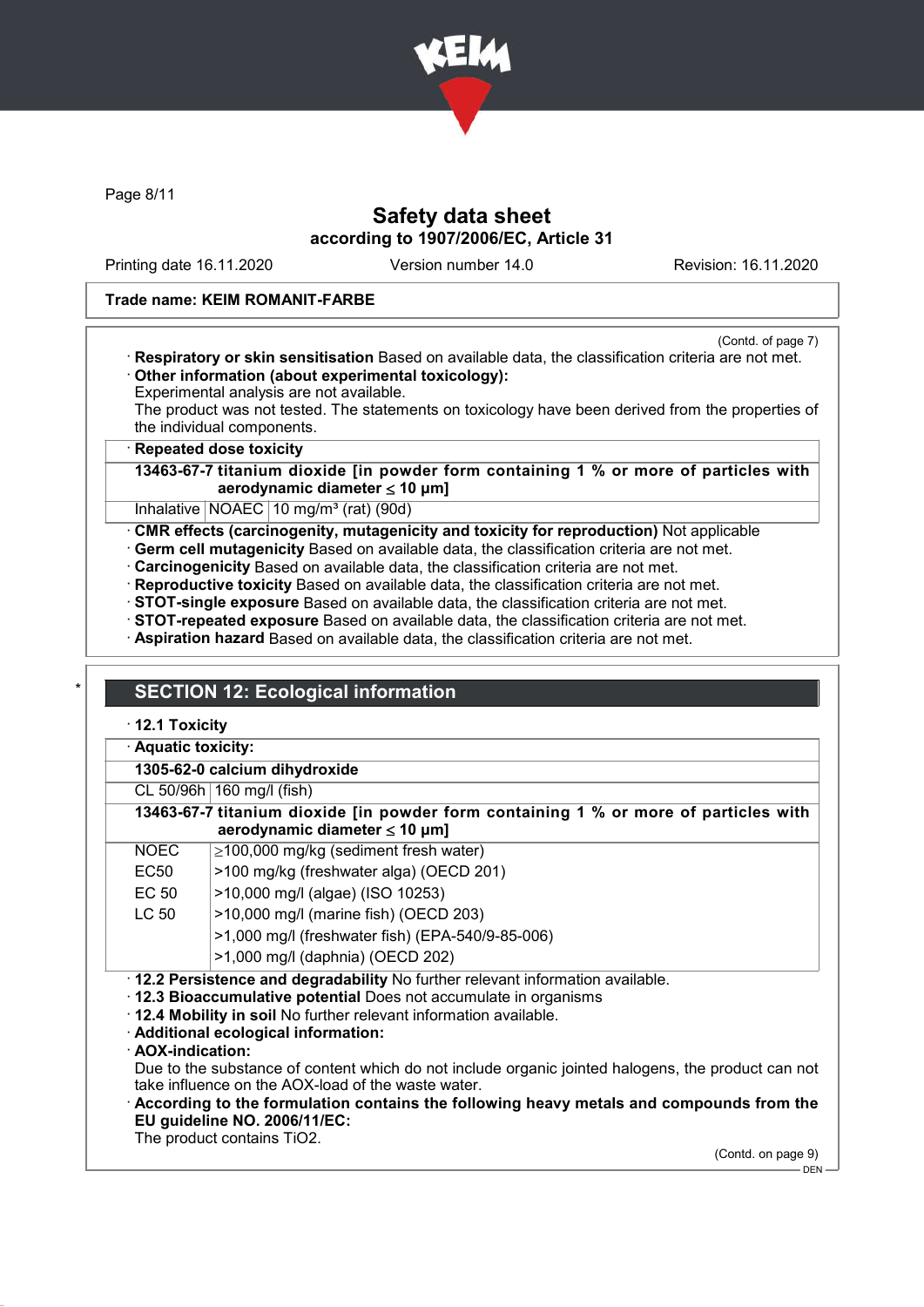

Page 8/11

## Safety data sheet according to 1907/2006/EC, Article 31

Printing date 16.11.2020 Version number 14.0 Revision: 16.11.2020

### Trade name: KEIM ROMANIT-FARBE

(Contd. of page 7)

· Respiratory or skin sensitisation Based on available data, the classification criteria are not met. · Other information (about experimental toxicology):

Experimental analysis are not available.

The product was not tested. The statements on toxicology have been derived from the properties of the individual components.

**Repeated dose toxicity** 

13463-67-7 titanium dioxide [in powder form containing 1 % or more of particles with aerodynamic diameter  $\leq 10 \mu m$ ]

Inhalative  $NOAEC$  10 mg/m<sup>3</sup> (rat) (90d)

· CMR effects (carcinogenity, mutagenicity and toxicity for reproduction) Not applicable

· Germ cell mutagenicity Based on available data, the classification criteria are not met.

· Carcinogenicity Based on available data, the classification criteria are not met.

· Reproductive toxicity Based on available data, the classification criteria are not met.

· STOT-single exposure Based on available data, the classification criteria are not met.

· STOT-repeated exposure Based on available data, the classification criteria are not met.

· Aspiration hazard Based on available data, the classification criteria are not met.

## **SECTION 12: Ecological information**

· 12.1 Toxicity

Aquatic toxicity:

1305-62-0 calcium dihydroxide

|                   | CL 50/96h   160 mg/l (fish)                                                                                                                                                                                                                                      |
|-------------------|------------------------------------------------------------------------------------------------------------------------------------------------------------------------------------------------------------------------------------------------------------------|
|                   | 13463-67-7 titanium dioxide [in powder form containing 1 % or more of particles with<br>aerodynamic diameter $\leq 10$ µm]                                                                                                                                       |
| <b>NOEC</b>       | $\geq$ 100,000 mg/kg (sediment fresh water)                                                                                                                                                                                                                      |
| EC50              | >100 mg/kg (freshwater alga) (OECD 201)                                                                                                                                                                                                                          |
| EC 50             | >10,000 mg/l (algae) (ISO 10253)                                                                                                                                                                                                                                 |
| LC 50             | >10,000 mg/l (marine fish) (OECD 203)                                                                                                                                                                                                                            |
|                   | >1,000 mg/l (freshwater fish) (EPA-540/9-85-006)                                                                                                                                                                                                                 |
|                   | >1,000 mg/l (daphnia) (OECD 202)                                                                                                                                                                                                                                 |
| · AOX-indication: | . 12.2 Persistence and degradability No further relevant information available.<br>12.3 Bioaccumulative potential Does not accumulate in organisms<br>. 12.4 Mobility in soil No further relevant information available.<br>· Additional ecological information: |
|                   | Due to the substance of content which do not include organic jointed halogens, the product can not<br>take influence on the AOX-load of the waste water.                                                                                                         |
|                   | According to the formulation contains the following heavy metals and compounds from the<br>EU guideline NO. 2006/11/EC:                                                                                                                                          |

The product contains TiO2.

(Contd. on page 9)

 $-$  DEN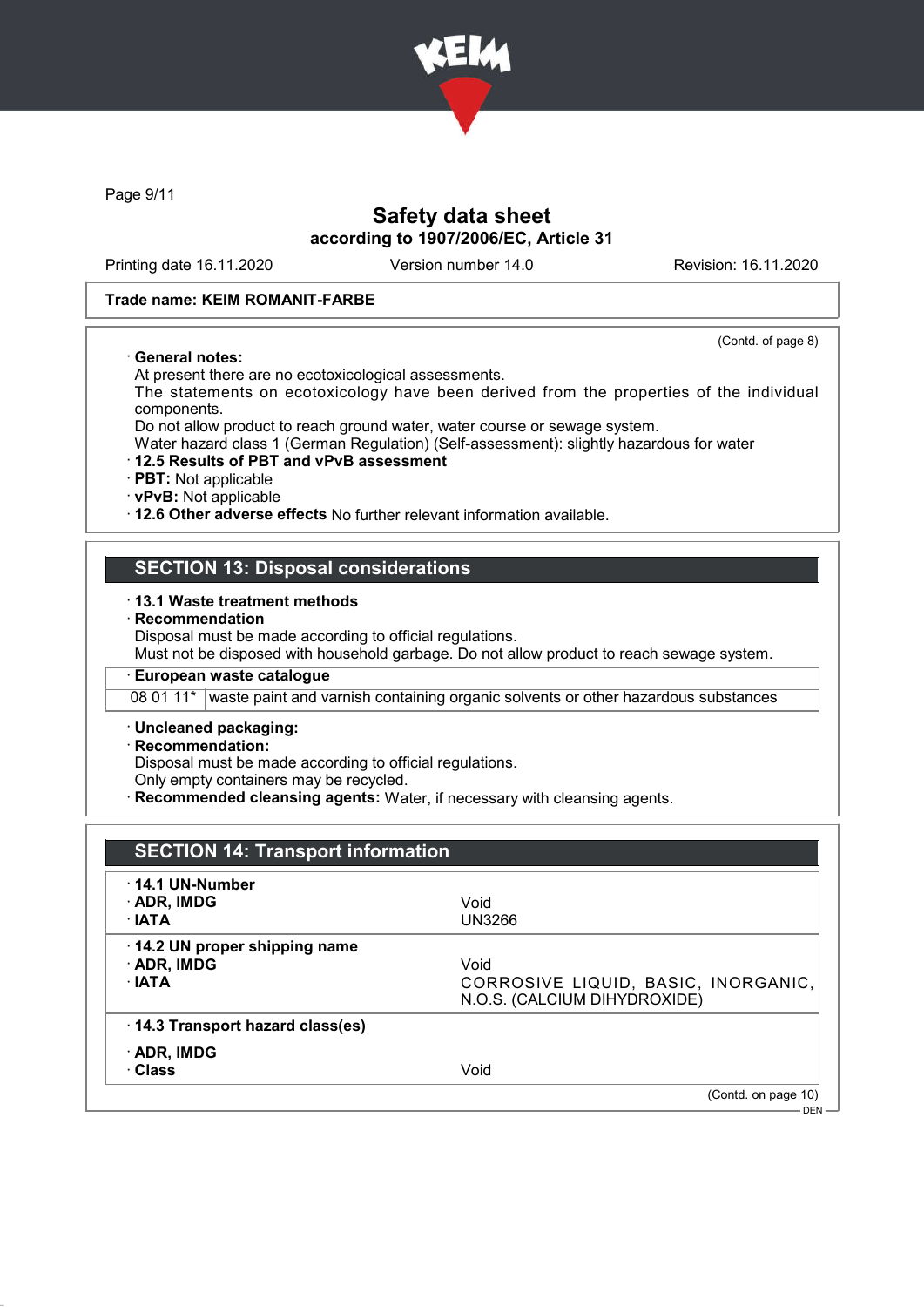

Page 9/11

## Safety data sheet according to 1907/2006/EC, Article 31

Printing date 16.11.2020 Version number 14.0 Revision: 16.11.2020

(Contd. of page 8)

### Trade name: KEIM ROMANIT-FARBE

#### · General notes:

At present there are no ecotoxicological assessments.

The statements on ecotoxicology have been derived from the properties of the individual components.

Do not allow product to reach ground water, water course or sewage system.

Water hazard class 1 (German Regulation) (Self-assessment): slightly hazardous for water

#### · 12.5 Results of PBT and vPvB assessment

· PBT: Not applicable

· vPvB: Not applicable

· 12.6 Other adverse effects No further relevant information available.

### SECTION 13: Disposal considerations

#### · 13.1 Waste treatment methods

**Recommendation** 

Disposal must be made according to official regulations.

Must not be disposed with household garbage. Do not allow product to reach sewage system.

### · European waste catalogue

08 01 11\* waste paint and varnish containing organic solvents or other hazardous substances

#### · Uncleaned packaging:

### · Recommendation:

Disposal must be made according to official regulations.

Only empty containers may be recycled.

**Recommended cleansing agents:** Water, if necessary with cleansing agents.

| <b>SECTION 14: Transport information</b>                          |                                                                             |
|-------------------------------------------------------------------|-----------------------------------------------------------------------------|
| $\cdot$ 14.1 UN-Number<br>· ADR, IMDG<br>$\cdot$ IATA             | Void<br><b>UN3266</b>                                                       |
| 14.2 UN proper shipping name<br>$\cdot$ ADR, IMDG<br>$\cdot$ IATA | Void<br>CORROSIVE LIQUID, BASIC, INORGANIC,<br>N.O.S. (CALCIUM DIHYDROXIDE) |
| 14.3 Transport hazard class(es)                                   |                                                                             |
| $\cdot$ ADR, IMDG<br>· Class                                      | Void                                                                        |
|                                                                   | (Contd. on page 10)<br>$DEN -$                                              |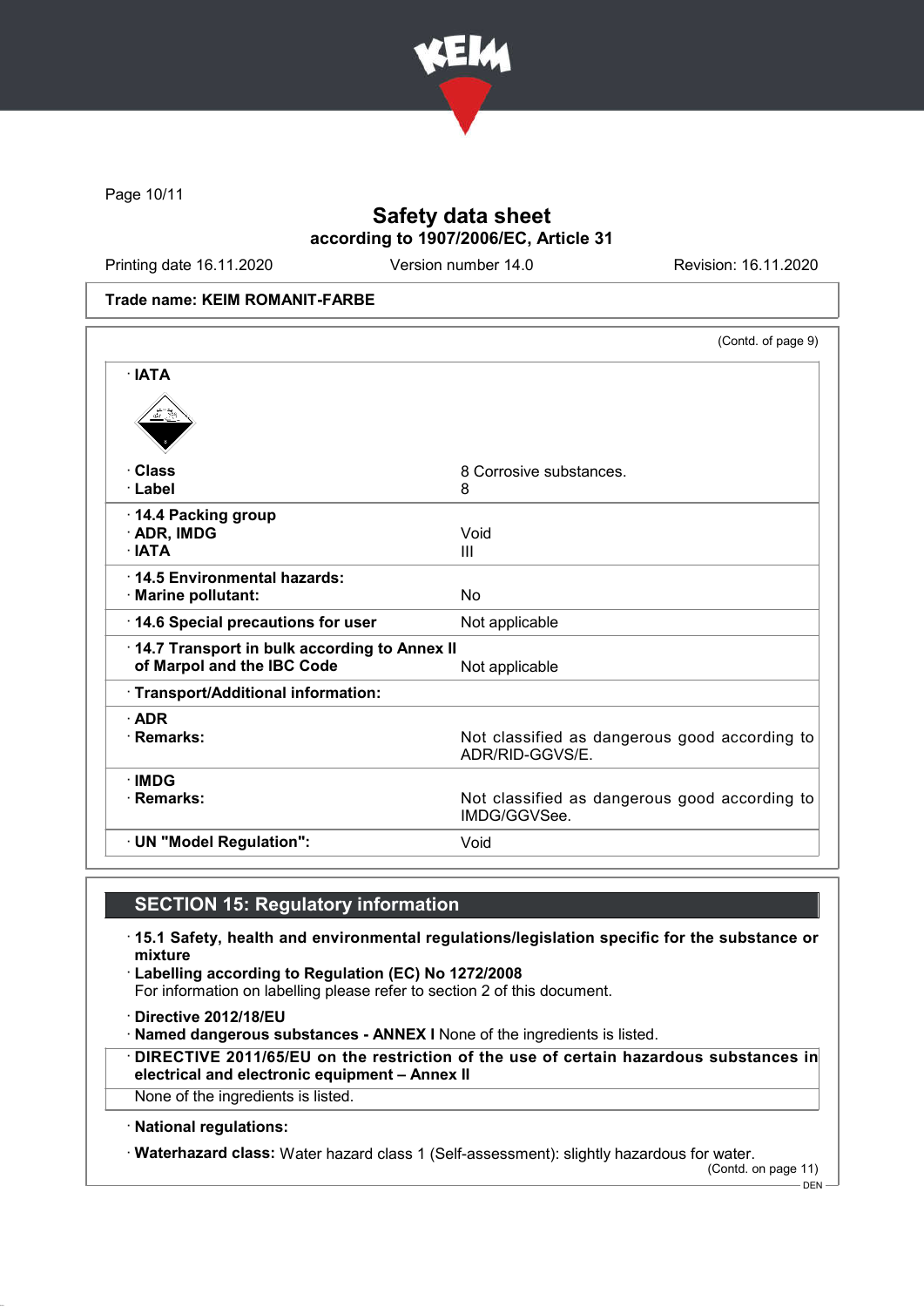

Page 10/11

## Safety data sheet according to 1907/2006/EC, Article 31

Printing date 16.11.2020 Version number 14.0 Revision: 16.11.2020

#### Trade name: KEIM ROMANIT-FARBE

|                                                                            | (Contd. of page 9)                                               |
|----------------------------------------------------------------------------|------------------------------------------------------------------|
| $\cdot$ IATA                                                               |                                                                  |
|                                                                            |                                                                  |
| · Class                                                                    | 8 Corrosive substances.                                          |
| · Label                                                                    | 8                                                                |
| 14.4 Packing group                                                         |                                                                  |
| · ADR, IMDG                                                                | Void                                                             |
| · IATA                                                                     | Ш                                                                |
| 14.5 Environmental hazards:                                                |                                                                  |
| · Marine pollutant:                                                        | No                                                               |
| 14.6 Special precautions for user                                          | Not applicable                                                   |
| 14.7 Transport in bulk according to Annex II<br>of Marpol and the IBC Code | Not applicable                                                   |
| · Transport/Additional information:                                        |                                                                  |
| $\cdot$ ADR                                                                |                                                                  |
| · Remarks:                                                                 | Not classified as dangerous good according to<br>ADR/RID-GGVS/E. |
| $\cdot$ IMDG                                                               |                                                                  |
| $\cdot$ Remarks:                                                           | Not classified as dangerous good according to<br>IMDG/GGVSee.    |
|                                                                            |                                                                  |

### SECTION 15: Regulatory information

- · 15.1 Safety, health and environmental regulations/legislation specific for the substance or mixture
- · Labelling according to Regulation (EC) No 1272/2008 For information on labelling please refer to section 2 of this document.
- · Directive 2012/18/EU
- · Named dangerous substances ANNEX I None of the ingredients is listed.
- · DIRECTIVE 2011/65/EU on the restriction of the use of certain hazardous substances in electrical and electronic equipment – Annex II
- None of the ingredients is listed.
- · National regulations:
- · Waterhazard class: Water hazard class 1 (Self-assessment): slightly hazardous for water.

(Contd. on page 11)

DEN